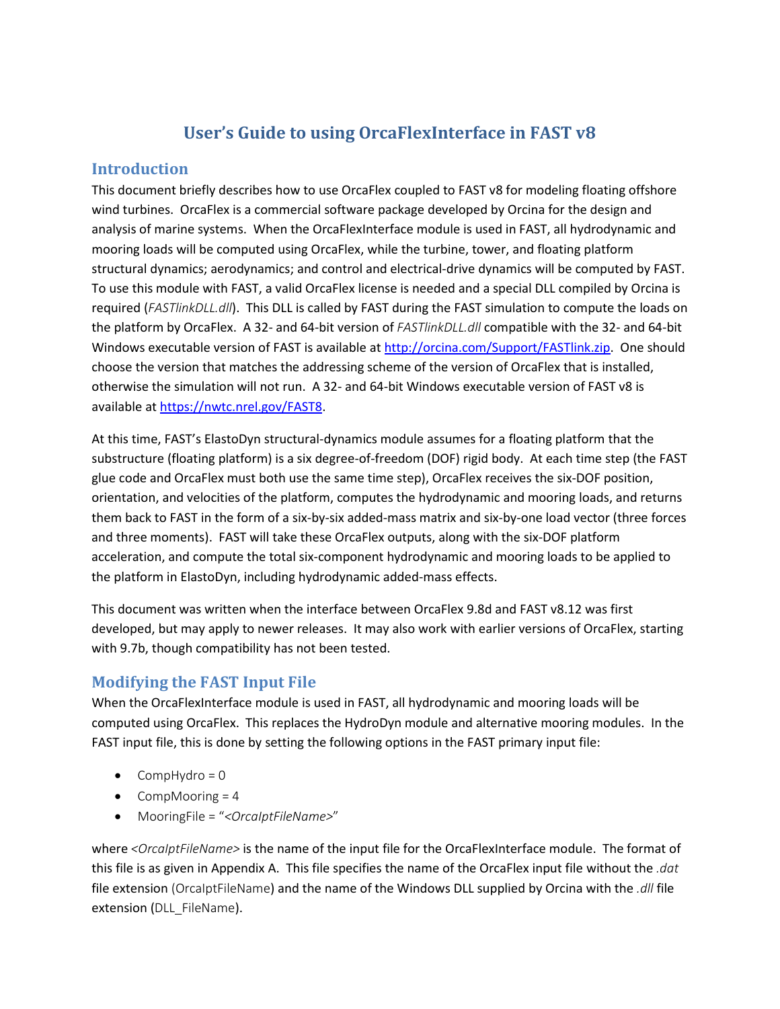# **User's Guide to using OrcaFlexInterface in FAST v8**

### **Introduction**

This document briefly describes how to use OrcaFlex coupled to FAST v8 for modeling floating offshore wind turbines. OrcaFlex is a commercial software package developed by Orcina for the design and analysis of marine systems. When the OrcaFlexInterface module is used in FAST, all hydrodynamic and mooring loads will be computed using OrcaFlex, while the turbine, tower, and floating platform structural dynamics; aerodynamics; and control and electrical-drive dynamics will be computed by FAST. To use this module with FAST, a valid OrcaFlex license is needed and a special DLL compiled by Orcina is required (*FASTlinkDLL.dll*). This DLL is called by FAST during the FAST simulation to compute the loads on the platform by OrcaFlex. A 32- and 64-bit version of *FASTlinkDLL.dll* compatible with the 32- and 64-bit Windows executable version of FAST is available at [http://orcina.com/Support/FASTlink.zip.](http://orcina.com/Support/FASTlink.zip) One should choose the version that matches the addressing scheme of the version of OrcaFlex that is installed, otherwise the simulation will not run. A 32- and 64-bit Windows executable version of FAST v8 is available at [https://nwtc.nrel.gov/FAST8.](https://nwtc.nrel.gov/FAST8)

At this time, FAST's ElastoDyn structural-dynamics module assumes for a floating platform that the substructure (floating platform) is a six degree-of-freedom (DOF) rigid body. At each time step (the FAST glue code and OrcaFlex must both use the same time step), OrcaFlex receives the six-DOF position, orientation, and velocities of the platform, computes the hydrodynamic and mooring loads, and returns them back to FAST in the form of a six-by-six added-mass matrix and six-by-one load vector (three forces and three moments). FAST will take these OrcaFlex outputs, along with the six-DOF platform acceleration, and compute the total six-component hydrodynamic and mooring loads to be applied to the platform in ElastoDyn, including hydrodynamic added-mass effects.

This document was written when the interface between OrcaFlex 9.8d and FAST v8.12 was first developed, but may apply to newer releases. It may also work with earlier versions of OrcaFlex, starting with 9.7b, though compatibility has not been tested.

## **Modifying the FAST Input File**

When the OrcaFlexInterface module is used in FAST, all hydrodynamic and mooring loads will be computed using OrcaFlex. This replaces the HydroDyn module and alternative mooring modules. In the FAST input file, this is done by setting the following options in the FAST primary input file:

- CompHydro =  $0$
- CompMooring  $= 4$
- MooringFile = "*<OrcaIptFileName>*"

where *<OrcaIptFileName>* is the name of the input file for the OrcaFlexInterface module. The format of this file is as given in Appendix A. This file specifies the name of the OrcaFlex input file without the *.dat* file extension (OrcaIptFileName) and the name of the Windows DLL supplied by Orcina with the *.dll* file extension (DLL\_FileName).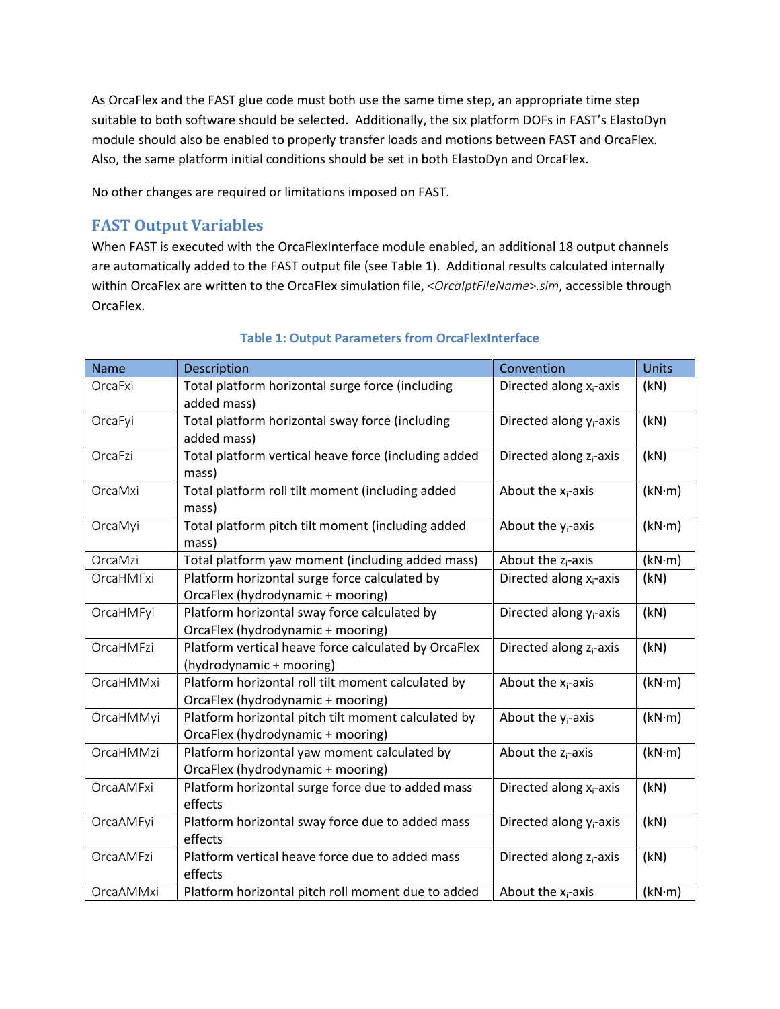As OrcaFlex and the FAST glue code must both use the same time step, an appropriate time step suitable to both software should be selected. Additionally, the six platform DOFs in FAST's ElastoDyn module should also be enabled to properly transfer loads and motions between FAST and OrcaFlex. Also, the same platform initial conditions should be set in both ElastoDyn and OrcaFlex.

No other changes are required or limitations imposed on FAST.

## **FAST Output Variables**

When FAST is executed with the OrcaFlexInterface module enabled, an additional 18 output channels are automatically added to the FAST output file (see [Table 1\)](#page-1-0). Additional results calculated internally within OrcaFlex are written to the OrcaFlex simulation file, <*OrcaIptFileName*>*.sim*, accessible through OrcaFlex.

<span id="page-1-0"></span>

| <b>Name</b> | Description                                                                                                               | Convention                          | <b>Units</b> |
|-------------|---------------------------------------------------------------------------------------------------------------------------|-------------------------------------|--------------|
| OrcaFxi     | Total platform horizontal surge force (including<br>added mass)                                                           | Directed along x <sub>i</sub> -axis | (kN)         |
| OrcaFyi     | Total platform horizontal sway force (including<br>added mass)                                                            | Directed along y <sub>i</sub> -axis | (kN)         |
| OrcaFzi     | Total platform vertical heave force (including added<br>mass)                                                             | Directed along z <sub>i</sub> -axis | (kN)         |
| OrcaMxi     | Total platform roll tilt moment (including added<br>mass)                                                                 | About the $x_i$ -axis               | (kN·m)       |
| OrcaMyi     | Total platform pitch tilt moment (including added<br>mass)                                                                | About the $y_i$ -axis               | (kN·m)       |
| OrcaMzi     | Total platform yaw moment (including added mass)                                                                          | About the $z_i$ -axis               | (kN·m)       |
| OrcaHMFxi   | Platform horizontal surge force calculated by<br>Directed along x <sub>i</sub> -axis<br>OrcaFlex (hydrodynamic + mooring) |                                     | (kN)         |
| OrcaHMFyi   | Platform horizontal sway force calculated by<br>OrcaFlex (hydrodynamic + mooring)                                         | Directed along y <sub>i</sub> -axis | (kN)         |
| OrcaHMFzi   | Platform vertical heave force calculated by OrcaFlex<br>(hydrodynamic + mooring)                                          | Directed along z <sub>i</sub> -axis | (kN)         |
| OrcaHMMxi   | Platform horizontal roll tilt moment calculated by<br>OrcaFlex (hydrodynamic + mooring)                                   | About the $x_i$ -axis               | (kN·m)       |
| OrcaHMMyi   | Platform horizontal pitch tilt moment calculated by<br>OrcaFlex (hydrodynamic + mooring)                                  | About the $y_i$ -axis               | (kN·m)       |
| OrcaHMMzi   | Platform horizontal yaw moment calculated by<br>About the $z_i$ -axis<br>OrcaFlex (hydrodynamic + mooring)                |                                     | (kN·m)       |
| OrcaAMFxi   | Platform horizontal surge force due to added mass<br>effects                                                              | Directed along x <sub>i</sub> -axis | (kN)         |
| OrcaAMFyi   | Platform horizontal sway force due to added mass<br>effects                                                               | Directed along y <sub>i</sub> -axis | (kN)         |
| OrcaAMFzi   | Platform vertical heave force due to added mass<br>effects                                                                | Directed along z <sub>i</sub> -axis | (kN)         |
| OrcaAMMxi   | Platform horizontal pitch roll moment due to added                                                                        | About the $x_i$ -axis               | (kN·m)       |

#### **Table 1: Output Parameters from OrcaFlexInterface**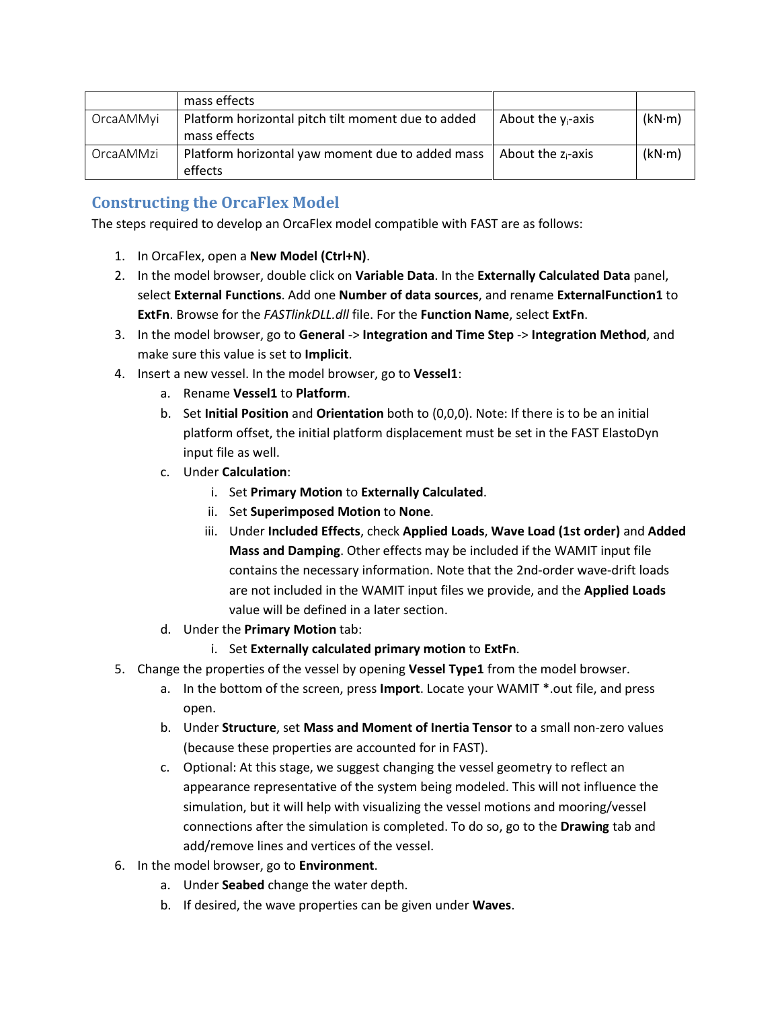|           | mass effects                                                       |                       |        |
|-----------|--------------------------------------------------------------------|-----------------------|--------|
| OrcaAMMyi | Platform horizontal pitch tilt moment due to added<br>mass effects | About the $y_i$ -axis | (kN·m) |
| OrcaAMMzi | Platform horizontal yaw moment due to added mass<br>effects        | About the $z_i$ -axis | (kN·m) |

# **Constructing the OrcaFlex Model**

The steps required to develop an OrcaFlex model compatible with FAST are as follows:

- 1. In OrcaFlex, open a **New Model (Ctrl+N)**.
- 2. In the model browser, double click on **Variable Data**. In the **Externally Calculated Data** panel, select **External Functions**. Add one **Number of data sources**, and rename **ExternalFunction1** to **ExtFn**. Browse for the *FASTlinkDLL.dll* file. For the **Function Name**, select **ExtFn**.
- 3. In the model browser, go to **General** -> **Integration and Time Step** -> **Integration Method**, and make sure this value is set to **Implicit**.
- 4. Insert a new vessel. In the model browser, go to **Vessel1**:
	- a. Rename **Vessel1** to **Platform**.
	- b. Set **Initial Position** and **Orientation** both to (0,0,0). Note: If there is to be an initial platform offset, the initial platform displacement must be set in the FAST ElastoDyn input file as well.
	- c. Under **Calculation**:
		- i. Set **Primary Motion** to **Externally Calculated**.
		- ii. Set **Superimposed Motion** to **None**.
		- iii. Under **Included Effects**, check **Applied Loads**, **Wave Load (1st order)** and **Added Mass and Damping**. Other effects may be included if the WAMIT input file contains the necessary information. Note that the 2nd-order wave-drift loads are not included in the WAMIT input files we provide, and the **Applied Loads** value will be defined in a later section.
	- d. Under the **Primary Motion** tab:
		- i. Set **Externally calculated primary motion** to **ExtFn**.
- 5. Change the properties of the vessel by opening **Vessel Type1** from the model browser.
	- a. In the bottom of the screen, press **Import**. Locate your WAMIT \*.out file, and press open.
	- b. Under **Structure**, set **Mass and Moment of Inertia Tensor** to a small non-zero values (because these properties are accounted for in FAST).
	- c. Optional: At this stage, we suggest changing the vessel geometry to reflect an appearance representative of the system being modeled. This will not influence the simulation, but it will help with visualizing the vessel motions and mooring/vessel connections after the simulation is completed. To do so, go to the **Drawing** tab and add/remove lines and vertices of the vessel.
- 6. In the model browser, go to **Environment**.
	- a. Under **Seabed** change the water depth.
	- b. If desired, the wave properties can be given under **Waves**.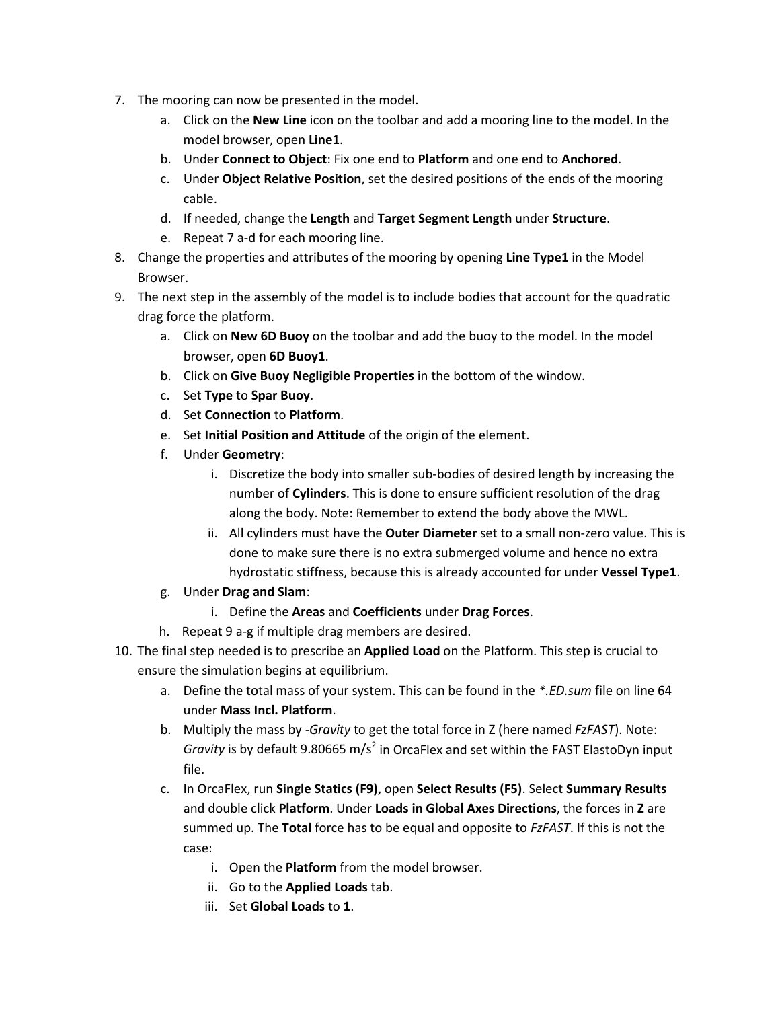- 7. The mooring can now be presented in the model.
	- a. Click on the **New Line** icon on the toolbar and add a mooring line to the model. In the model browser, open **Line1**.
	- b. Under **Connect to Object**: Fix one end to **Platform** and one end to **Anchored**.
	- c. Under **Object Relative Position**, set the desired positions of the ends of the mooring cable.
	- d. If needed, change the **Length** and **Target Segment Length** under **Structure**.
	- e. Repeat 7 a-d for each mooring line.
- 8. Change the properties and attributes of the mooring by opening **Line Type1** in the Model Browser.
- 9. The next step in the assembly of the model is to include bodies that account for the quadratic drag force the platform.
	- a. Click on **New 6D Buoy** on the toolbar and add the buoy to the model. In the model browser, open **6D Buoy1**.
	- b. Click on **Give Buoy Negligible Properties** in the bottom of the window.
	- c. Set **Type** to **Spar Buoy**.
	- d. Set **Connection** to **Platform**.
	- e. Set **Initial Position and Attitude** of the origin of the element.
	- f. Under **Geometry**:
		- i. Discretize the body into smaller sub-bodies of desired length by increasing the number of **Cylinders**. This is done to ensure sufficient resolution of the drag along the body. Note: Remember to extend the body above the MWL.
		- ii. All cylinders must have the **Outer Diameter** set to a small non-zero value. This is done to make sure there is no extra submerged volume and hence no extra hydrostatic stiffness, because this is already accounted for under **Vessel Type1**.
	- g. Under **Drag and Slam**:
		- i. Define the **Areas** and **Coefficients** under **Drag Forces**.
	- h. Repeat 9 a-g if multiple drag members are desired.
- 10. The final step needed is to prescribe an **Applied Load** on the Platform. This step is crucial to ensure the simulation begins at equilibrium.
	- a. Define the total mass of your system. This can be found in the *\*.ED.sum* file on line 64 under **Mass Incl. Platform**.
	- b. Multiply the mass by *-Gravity* to get the total force in Z (here named *FzFAST*). Note: *Gravity* is by default 9.80665 m/s<sup>2</sup> in OrcaFlex and set within the FAST ElastoDyn input file.
	- c. In OrcaFlex, run **Single Statics (F9)**, open **Select Results (F5)**. Select **Summary Results** and double click **Platform**. Under **Loads in Global Axes Directions**, the forces in **Z** are summed up. The **Total** force has to be equal and opposite to *FzFAST*. If this is not the case:
		- i. Open the **Platform** from the model browser.
		- ii. Go to the **Applied Loads** tab.
		- iii. Set **Global Loads** to **1**.